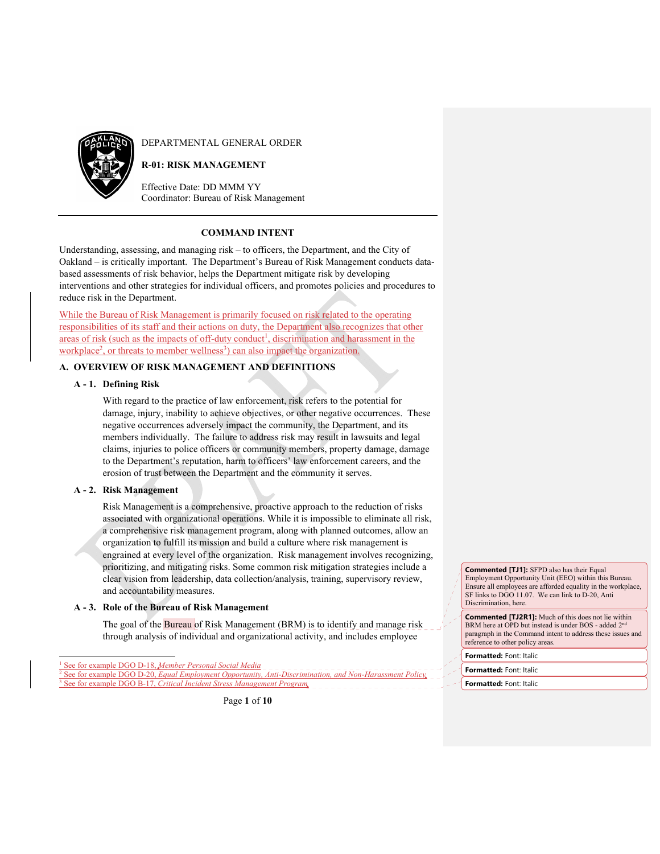

DEPARTMENTAL GENERAL ORDER

# **R-01: RISK MANAGEMENT**

Effective Date: DD MMM YY Coordinator: Bureau of Risk Management

# **COMMAND INTENT**

Understanding, assessing, and managing risk – to officers, the Department, and the City of Oakland – is critically important. The Department's Bureau of Risk Management conducts databased assessments of risk behavior, helps the Department mitigate risk by developing interventions and other strategies for individual officers, and promotes policies and procedures to reduce risk in the Department.

While the Bureau of Risk Management is primarily focused on risk related to the operating responsibilities of its staff and their actions on duty, the Department also recognizes that other areas of risk (such as the impacts of off-duty conduct<sup>1</sup>, discrimination and harassment in the workplace<sup>2</sup>, or threats to member wellness<sup>3</sup>) can also impact the organization.

# **A. OVERVIEW OF RISK MANAGEMENT AND DEFINITIONS**

## **A - 1. Defining Risk**

With regard to the practice of law enforcement, risk refers to the potential for damage, injury, inability to achieve objectives, or other negative occurrences. These negative occurrences adversely impact the community, the Department, and its members individually. The failure to address risk may result in lawsuits and legal claims, injuries to police officers or community members, property damage, damage to the Department's reputation, harm to officers' law enforcement careers, and the erosion of trust between the Department and the community it serves.

## **A - 2. Risk Management**

Risk Management is a comprehensive, proactive approach to the reduction of risks associated with organizational operations. While it is impossible to eliminate all risk, a comprehensive risk management program, along with planned outcomes, allow an organization to fulfill its mission and build a culture where risk management is engrained at every level of the organization. Risk management involves recognizing, prioritizing, and mitigating risks. Some common risk mitigation strategies include a clear vision from leadership, data collection/analysis, training, supervisory review, and accountability measures.

## **A - 3. Role of the Bureau of Risk Management**

The goal of the Bureau of Risk Management (BRM) is to identify and manage risk through analysis of individual and organizational activity, and includes employee

**Commented [TJ1]:** SFPD also has their Equal Employment Opportunity Unit (EEO) within this Bureau. Ensure all employees are afforded equality in the workplace, SF links to DGO 11.07. We can link to D-20, Anti Discrimination, here.

**Commented [TJ2R1]:** Much of this does not lie within BRM here at OPD but instead is under BOS - added 2nd paragraph in the Command intent to address these issues and reference to other policy areas.

**Formatted:** Font: Italic

**Formatted:** Font: Italic

**Formatted:** Font: Italic

<sup>1</sup> See for example DGO D-18, *Member Personal Social Media* See for example DGO D-20, *Equal Employment Opportunity, Anti-Discrimination, and Non-Harassment Policy* 3 e for example DGO B-17, *Critical Incident Stress Management Program*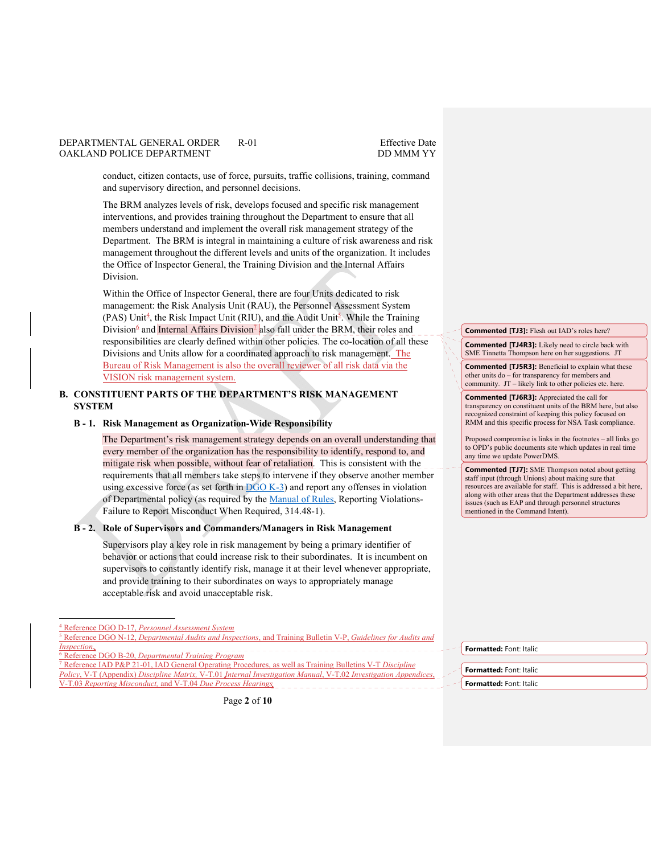conduct, citizen contacts, use of force, pursuits, traffic collisions, training, command and supervisory direction, and personnel decisions.

The BRM analyzes levels of risk, develops focused and specific risk management interventions, and provides training throughout the Department to ensure that all members understand and implement the overall risk management strategy of the Department. The BRM is integral in maintaining a culture of risk awareness and risk management throughout the different levels and units of the organization. It includes the Office of Inspector General, the Training Division and the Internal Affairs Division.

Within the Office of Inspector General, there are four Units dedicated to risk management: the Risk Analysis Unit (RAU), the Personnel Assessment System (PAS) Unit<sup>4</sup>, the Risk Impact Unit (RIU), and the Audit Unit<sup>5</sup>. While the Training Division<sup>6</sup> and Internal Affairs Division<sup>1</sup> also fall under the BRM, their roles and responsibilities are clearly defined within other policies. The co-location of all these Divisions and Units allow for a coordinated approach to risk management. The Bureau of Risk Management is also the overall reviewer of all risk data via the VISION risk management system.

# **B. CONSTITUENT PARTS OF THE DEPARTMENT'S RISK MANAGEMENT SYSTEM**

## **B - 1. Risk Management as Organization-Wide Responsibility**

The Department's risk management strategy depends on an overall understanding that every member of the organization has the responsibility to identify, respond to, and mitigate risk when possible, without fear of retaliation. This is consistent with the requirements that all members take steps to intervene if they observe another member using excessive force (as set forth in  $DGO K-3$ ) and report any offenses in violation of Departmental policy (as required by the Manual of Rules, Reporting Violations-Failure to Report Misconduct When Required, 314.48-1).

#### **B - 2. Role of Supervisors and Commanders/Managers in Risk Management**

Supervisors play a key role in risk management by being a primary identifier of behavior or actions that could increase risk to their subordinates. It is incumbent on supervisors to constantly identify risk, manage it at their level whenever appropriate, and provide training to their subordinates on ways to appropriately manage acceptable risk and avoid unacceptable risk.

 Reference DGO B-20, *Departmental Training Program* 7 Reference IAD P&P 21-01, IAD General Operating Procedures, as well as Training Bulletins V-T *Discipline Policy*, V-T (Appendix) *Discipline Matrix,* V-T.01 *Internal Investigation Manual*, V-T.02 *Investigation Appendices*,

V-T.03 *Reporting Misconduct,* and V-T.04 *Due Process Hearings*

**Commented [TJ3]:** Flesh out IAD's roles here?

**Commented [TJ4R3]:** Likely need to circle back with SME Tinnetta Thompson here on her suggestions. JT

**Commented [TJ5R3]:** Beneficial to explain what these other units do – for transparency for members and community. JT – likely link to other policies etc. here.

**Commented [TJ6R3]:** Appreciated the call for transparency on constituent units of the BRM here, but also recognized constraint of keeping this policy focused on RMM and this specific process for NSA Task compliance.

Proposed compromise is links in the footnotes – all links go to OPD's public documents site which updates in real time any time we update PowerDMS.

**Commented [TJ7]:** SME Thompson noted about getting staff input (through Unions) about making sure that resources are available for staff. This is addressed a bit here, along with other areas that the Department addresses these issues (such as EAP and through personnel structures mentioned in the Command Intent).

Page **2** of **10**

**Formatted:** Font: Italic

**Formatted:** Font: Italic

**Formatted:** Font: Italic

<sup>4</sup> Reference DGO D-17, *Personnel Assessment System*

<sup>5</sup> Reference DGO N-12, *Departmental Audits and Inspections*, and Training Bulletin V-P, *Guidelines for Audits and Inspection.* 6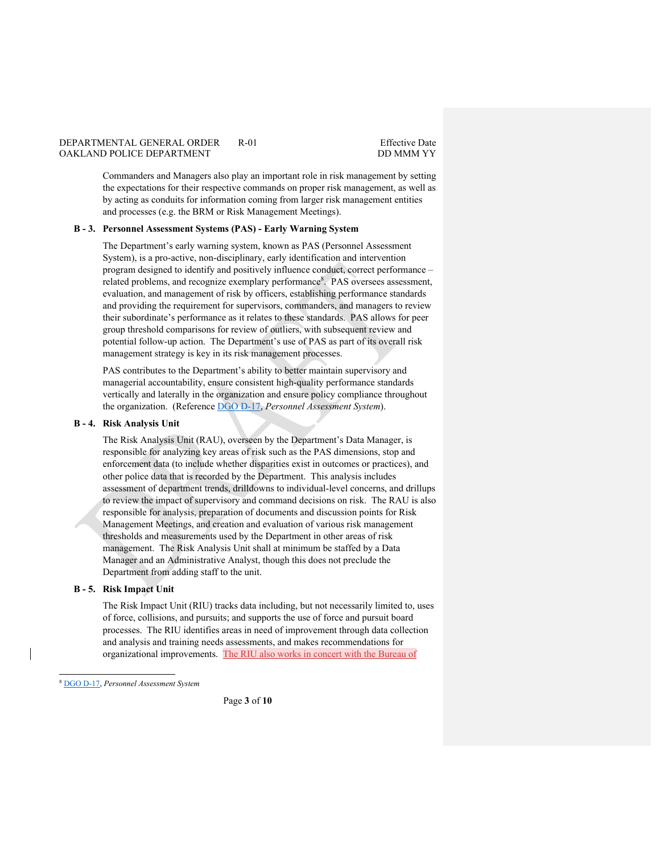Commanders and Managers also play an important role in risk management by setting the expectations for their respective commands on proper risk management, as well as by acting as conduits for information coming from larger risk management entities and processes (e.g. the BRM or Risk Management Meetings).

#### **B - 3. Personnel Assessment Systems (PAS) - Early Warning System**

The Department's early warning system, known as PAS (Personnel Assessment System), is a pro-active, non-disciplinary, early identification and intervention program designed to identify and positively influence conduct, correct performance – related problems, and recognize exemplary performance<sup>8</sup>. PAS oversees assessment, evaluation, and management of risk by officers, establishing performance standards and providing the requirement for supervisors, commanders, and managers to review their subordinate's performance as it relates to these standards. PAS allows for peer group threshold comparisons for review of outliers, with subsequent review and potential follow-up action. The Department's use of PAS as part of its overall risk management strategy is key in its risk management processes.

PAS contributes to the Department's ability to better maintain supervisory and managerial accountability, ensure consistent high-quality performance standards vertically and laterally in the organization and ensure policy compliance throughout the organization. (Reference DGO D-17, *Personnel Assessment System*).

#### **B - 4. Risk Analysis Unit**

The Risk Analysis Unit (RAU), overseen by the Department's Data Manager, is responsible for analyzing key areas of risk such as the PAS dimensions, stop and enforcement data (to include whether disparities exist in outcomes or practices), and other police data that is recorded by the Department. This analysis includes assessment of department trends, drilldowns to individual-level concerns, and drillups to review the impact of supervisory and command decisions on risk. The RAU is also responsible for analysis, preparation of documents and discussion points for Risk Management Meetings, and creation and evaluation of various risk management thresholds and measurements used by the Department in other areas of risk management. The Risk Analysis Unit shall at minimum be staffed by a Data Manager and an Administrative Analyst, though this does not preclude the Department from adding staff to the unit.

#### **B - 5. Risk Impact Unit**

The Risk Impact Unit (RIU) tracks data including, but not necessarily limited to, uses of force, collisions, and pursuits; and supports the use of force and pursuit board processes. The RIU identifies areas in need of improvement through data collection and analysis and training needs assessments, and makes recommendations for organizational improvements. The RIU also works in concert with the Bureau of

<sup>8</sup> DGO D-17, *Personnel Assessment System*

Page **3** of **10**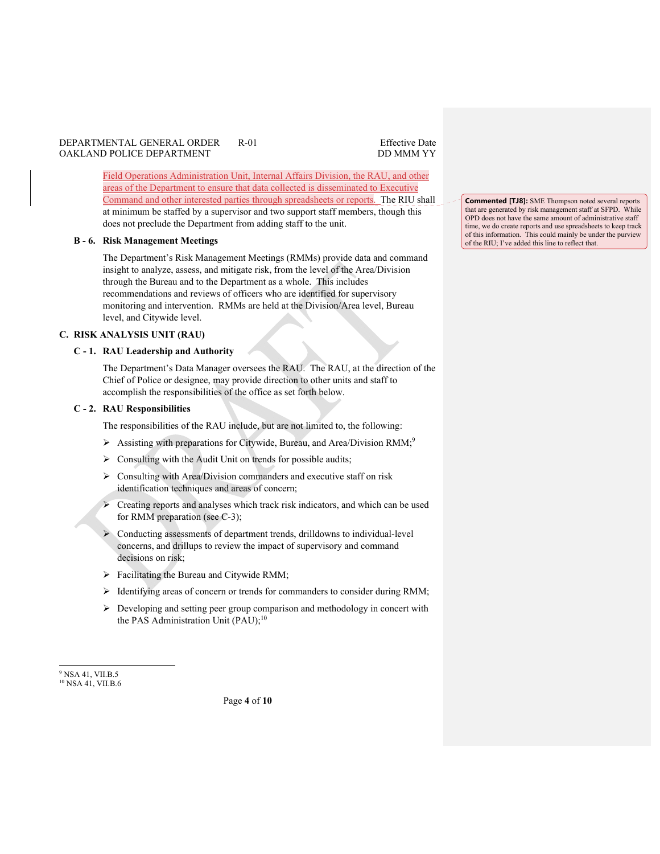Field Operations Administration Unit, Internal Affairs Division, the RAU, and other areas of the Department to ensure that data collected is disseminated to Executive Command and other interested parties through spreadsheets or reports. The RIU shall at minimum be staffed by a supervisor and two support staff members, though this does not preclude the Department from adding staff to the unit.

#### **B - 6. Risk Management Meetings**

The Department's Risk Management Meetings (RMMs) provide data and command insight to analyze, assess, and mitigate risk, from the level of the Area/Division through the Bureau and to the Department as a whole. This includes recommendations and reviews of officers who are identified for supervisory monitoring and intervention. RMMs are held at the Division/Area level, Bureau level, and Citywide level.

### **C. RISK ANALYSIS UNIT (RAU)**

### **C - 1. RAU Leadership and Authority**

The Department's Data Manager oversees the RAU. The RAU, at the direction of the Chief of Police or designee, may provide direction to other units and staff to accomplish the responsibilities of the office as set forth below.

#### **C - 2. RAU Responsibilities**

The responsibilities of the RAU include, but are not limited to, the following:

- Assisting with preparations for Citywide, Bureau, and Area/Division RMM;<sup>9</sup>
- $\triangleright$  Consulting with the Audit Unit on trends for possible audits;
- $\triangleright$  Consulting with Area/Division commanders and executive staff on risk identification techniques and areas of concern;
- $\triangleright$  Creating reports and analyses which track risk indicators, and which can be used for RMM preparation (see C-3);
- Conducting assessments of department trends, drilldowns to individual-level concerns, and drillups to review the impact of supervisory and command decisions on risk;
- Facilitating the Bureau and Citywide RMM;
- $\triangleright$  Identifying areas of concern or trends for commanders to consider during RMM;
- $\triangleright$  Developing and setting peer group comparison and methodology in concert with the PAS Administration Unit  $(PAU)$ ;<sup>10</sup>

Page **4** of **10**

**Commented [TJ8]:** SME Thompson noted several reports that are generated by risk management staff at SFPD. While OPD does not have the same amount of administrative staff time, we do create reports and use spreadsheets to keep track of this information. This could mainly be under the purview of the RIU; I've added this line to reflect that.

<sup>9</sup> NSA 41, VII.B.5 <sup>10</sup> NSA 41, VII.B.6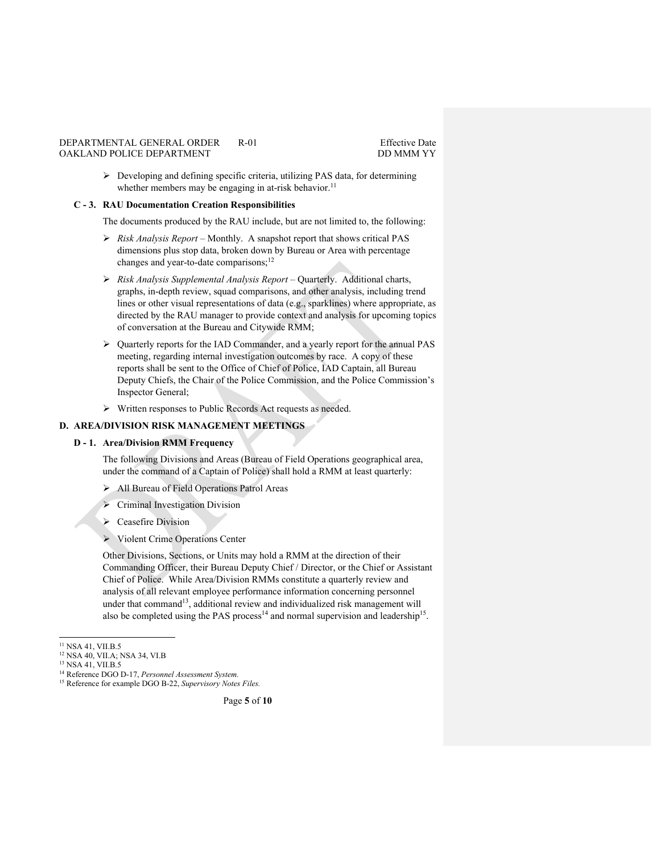Developing and defining specific criteria, utilizing PAS data, for determining whether members may be engaging in at-risk behavior.<sup>11</sup>

#### **C - 3. RAU Documentation Creation Responsibilities**

The documents produced by the RAU include, but are not limited to, the following:

- *Risk Analysis Report* Monthly. A snapshot report that shows critical PAS dimensions plus stop data, broken down by Bureau or Area with percentage changes and year-to-date comparisons;<sup>12</sup>
- *Risk Analysis Supplemental Analysis Report* Quarterly. Additional charts, graphs, in-depth review, squad comparisons, and other analysis, including trend lines or other visual representations of data (e.g., sparklines) where appropriate, as directed by the RAU manager to provide context and analysis for upcoming topics of conversation at the Bureau and Citywide RMM;
- Quarterly reports for the IAD Commander, and a yearly report for the annual PAS meeting, regarding internal investigation outcomes by race. A copy of these reports shall be sent to the Office of Chief of Police, IAD Captain, all Bureau Deputy Chiefs, the Chair of the Police Commission, and the Police Commission's Inspector General;
- Written responses to Public Records Act requests as needed.

### **D. AREA/DIVISION RISK MANAGEMENT MEETINGS**

## **D - 1. Area/Division RMM Frequency**

The following Divisions and Areas (Bureau of Field Operations geographical area, under the command of a Captain of Police) shall hold a RMM at least quarterly:

- All Bureau of Field Operations Patrol Areas
- $\triangleright$  Criminal Investigation Division
- $\triangleright$  Ceasefire Division
- Violent Crime Operations Center

Other Divisions, Sections, or Units may hold a RMM at the direction of their Commanding Officer, their Bureau Deputy Chief / Director, or the Chief or Assistant Chief of Police. While Area/Division RMMs constitute a quarterly review and analysis of all relevant employee performance information concerning personnel under that command<sup>13</sup>, additional review and individualized risk management will also be completed using the PAS process<sup>14</sup> and normal supervision and leadership<sup>15</sup>.

<sup>11</sup> NSA 41, VII.B.5 12 NSA 40, VII.A; NSA 34, VI.B

<sup>13</sup> NSA 41, VII.B.5

<sup>14</sup> Reference DGO D-17, *Personnel Assessment System.*

<sup>15</sup> Reference for example DGO B-22, *Supervisory Notes Files.*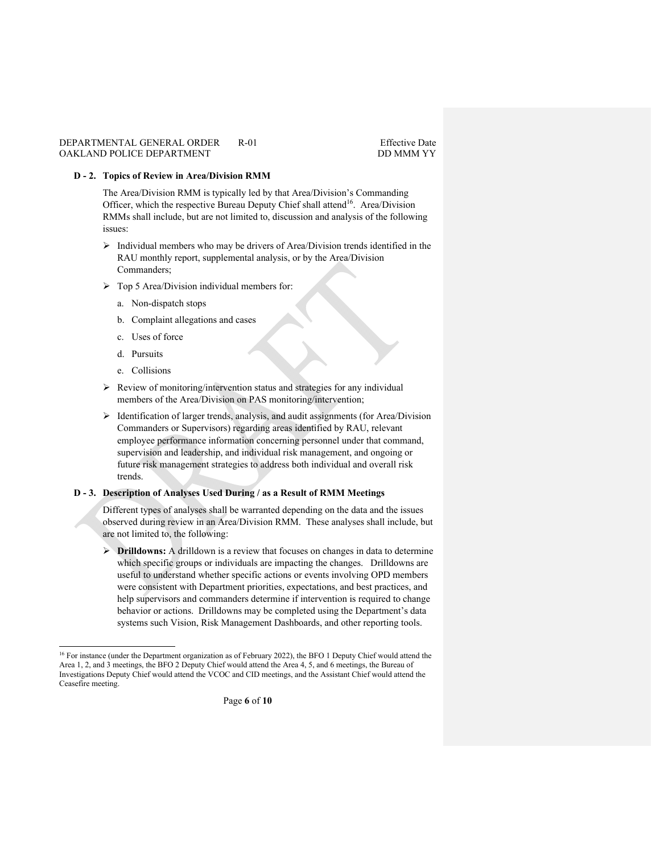## **D - 2. Topics of Review in Area/Division RMM**

The Area/Division RMM is typically led by that Area/Division's Commanding Officer, which the respective Bureau Deputy Chief shall attend<sup>16</sup>. Area/Division RMMs shall include, but are not limited to, discussion and analysis of the following issues:

- $\triangleright$  Individual members who may be drivers of Area/Division trends identified in the RAU monthly report, supplemental analysis, or by the Area/Division Commanders;
- Top 5 Area/Division individual members for:
	- a. Non-dispatch stops
	- b. Complaint allegations and cases
	- c. Uses of force
	- d. Pursuits
	- e. Collisions
- $\triangleright$  Review of monitoring/intervention status and strategies for any individual members of the Area/Division on PAS monitoring/intervention;
- $\triangleright$  Identification of larger trends, analysis, and audit assignments (for Area/Division Commanders or Supervisors) regarding areas identified by RAU, relevant employee performance information concerning personnel under that command, supervision and leadership, and individual risk management, and ongoing or future risk management strategies to address both individual and overall risk trends.

## **D - 3. Description of Analyses Used During / as a Result of RMM Meetings**

Different types of analyses shall be warranted depending on the data and the issues observed during review in an Area/Division RMM. These analyses shall include, but are not limited to, the following:

 **Drilldowns:** A drilldown is a review that focuses on changes in data to determine which specific groups or individuals are impacting the changes. Drilldowns are useful to understand whether specific actions or events involving OPD members were consistent with Department priorities, expectations, and best practices, and help supervisors and commanders determine if intervention is required to change behavior or actions. Drilldowns may be completed using the Department's data systems such Vision, Risk Management Dashboards, and other reporting tools.

<sup>&</sup>lt;sup>16</sup> For instance (under the Department organization as of February 2022), the BFO 1 Deputy Chief would attend the Area 1, 2, and 3 meetings, the BFO 2 Deputy Chief would attend the Area 4, 5, and 6 meetings, the Bureau of Investigations Deputy Chief would attend the VCOC and CID meetings, and the Assistant Chief would attend the Ceasefire meeting.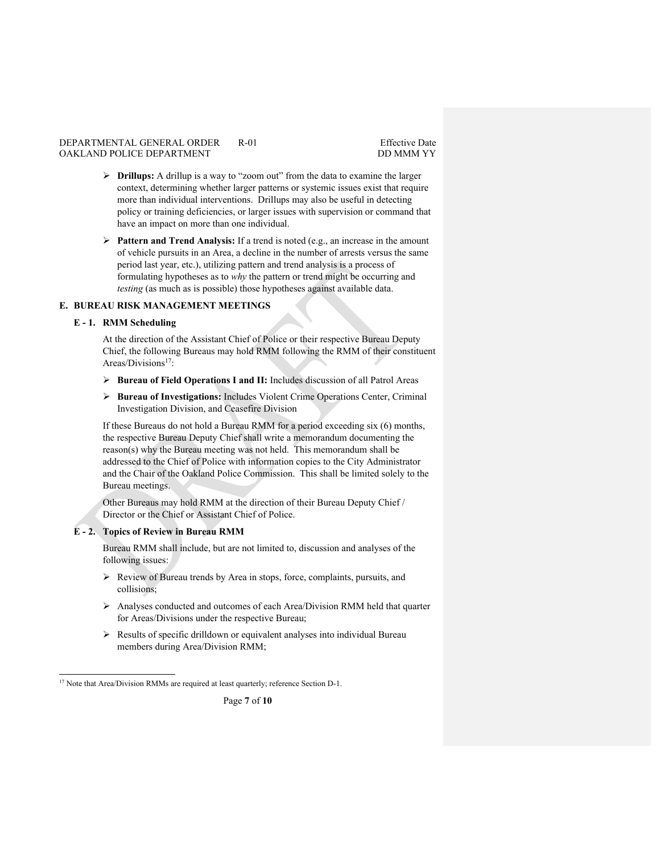- **Drillups:** A drillup is a way to "zoom out" from the data to examine the larger context, determining whether larger patterns or systemic issues exist that require more than individual interventions. Drillups may also be useful in detecting policy or training deficiencies, or larger issues with supervision or command that have an impact on more than one individual.
- **Pattern and Trend Analysis:** If a trend is noted (e.g., an increase in the amount of vehicle pursuits in an Area, a decline in the number of arrests versus the same period last year, etc.), utilizing pattern and trend analysis is a process of formulating hypotheses as to *why* the pattern or trend might be occurring and *testing* (as much as is possible) those hypotheses against available data.

## **E. BUREAU RISK MANAGEMENT MEETINGS**

## **E - 1. RMM Scheduling**

At the direction of the Assistant Chief of Police or their respective Bureau Deputy Chief, the following Bureaus may hold RMM following the RMM of their constituent Areas/Divisions<sup>17</sup>:

- **Bureau of Field Operations I and II:** Includes discussion of all Patrol Areas
- **Bureau of Investigations:** Includes Violent Crime Operations Center, Criminal Investigation Division, and Ceasefire Division

If these Bureaus do not hold a Bureau RMM for a period exceeding six (6) months, the respective Bureau Deputy Chief shall write a memorandum documenting the reason(s) why the Bureau meeting was not held. This memorandum shall be addressed to the Chief of Police with information copies to the City Administrator and the Chair of the Oakland Police Commission. This shall be limited solely to the Bureau meetings.

Other Bureaus may hold RMM at the direction of their Bureau Deputy Chief / Director or the Chief or Assistant Chief of Police.

## **E - 2. Topics of Review in Bureau RMM**

Bureau RMM shall include, but are not limited to, discussion and analyses of the following issues:

- $\triangleright$  Review of Bureau trends by Area in stops, force, complaints, pursuits, and collisions;
- Analyses conducted and outcomes of each Area/Division RMM held that quarter for Areas/Divisions under the respective Bureau;
- $\triangleright$  Results of specific drilldown or equivalent analyses into individual Bureau members during Area/Division RMM;

<sup>&</sup>lt;sup>17</sup> Note that Area/Division RMMs are required at least quarterly; reference Section D-1.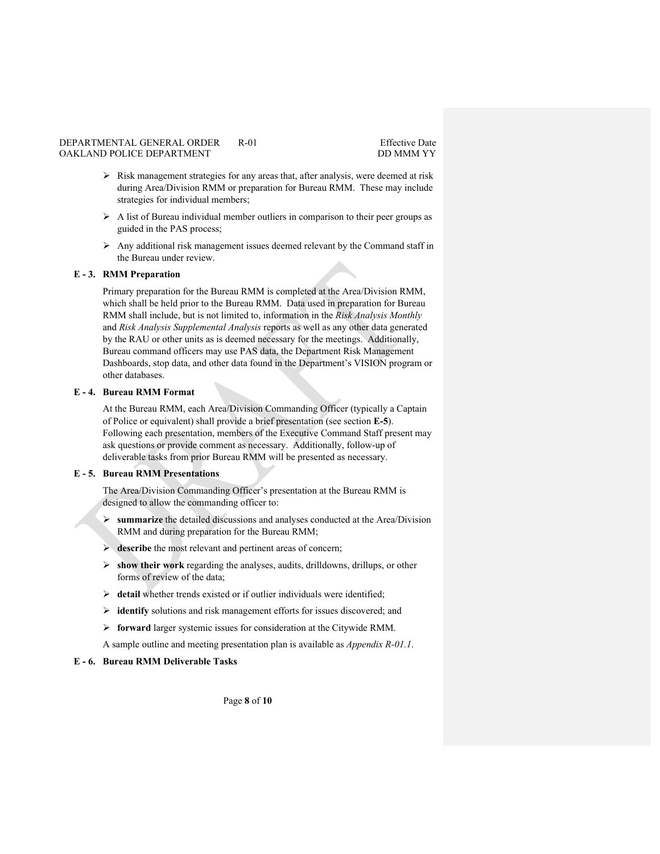- $\triangleright$  Risk management strategies for any areas that, after analysis, were deemed at risk during Area/Division RMM or preparation for Bureau RMM. These may include strategies for individual members;
- $\triangleright$  A list of Bureau individual member outliers in comparison to their peer groups as guided in the PAS process;
- $\triangleright$  Any additional risk management issues deemed relevant by the Command staff in the Bureau under review.

## **E - 3. RMM Preparation**

Primary preparation for the Bureau RMM is completed at the Area/Division RMM, which shall be held prior to the Bureau RMM. Data used in preparation for Bureau RMM shall include, but is not limited to, information in the *Risk Analysis Monthly*  and *Risk Analysis Supplemental Analysis* reports as well as any other data generated by the RAU or other units as is deemed necessary for the meetings. Additionally, Bureau command officers may use PAS data, the Department Risk Management Dashboards, stop data, and other data found in the Department's VISION program or other databases.

### **E - 4. Bureau RMM Format**

At the Bureau RMM, each Area/Division Commanding Officer (typically a Captain of Police or equivalent) shall provide a brief presentation (see section **E-5**). Following each presentation, members of the Executive Command Staff present may ask questions or provide comment as necessary. Additionally, follow-up of deliverable tasks from prior Bureau RMM will be presented as necessary.

## **E - 5. Bureau RMM Presentations**

The Area/Division Commanding Officer's presentation at the Bureau RMM is designed to allow the commanding officer to:

- **summarize** the detailed discussions and analyses conducted at the Area/Division RMM and during preparation for the Bureau RMM;
- $\triangleright$  describe the most relevant and pertinent areas of concern;
- **show their work** regarding the analyses, audits, drilldowns, drillups, or other forms of review of the data;
- **detail** whether trends existed or if outlier individuals were identified;
- **identify** solutions and risk management efforts for issues discovered; and
- **forward** larger systemic issues for consideration at the Citywide RMM.

A sample outline and meeting presentation plan is available as *Appendix R-01.1*.

## **E - 6. Bureau RMM Deliverable Tasks**

Page **8** of **10**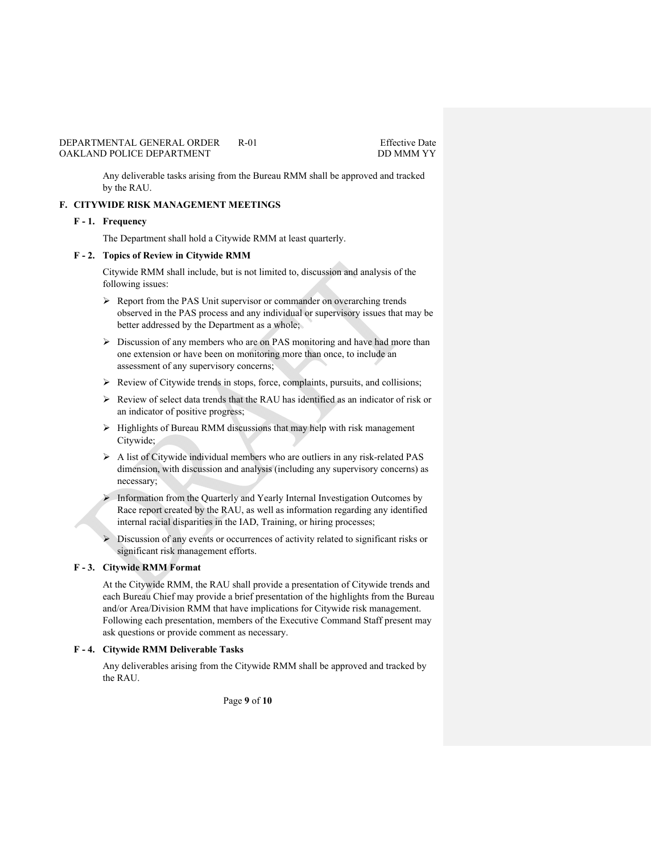Any deliverable tasks arising from the Bureau RMM shall be approved and tracked by the RAU.

## **F. CITYWIDE RISK MANAGEMENT MEETINGS**

#### **F - 1. Frequency**

The Department shall hold a Citywide RMM at least quarterly.

## **F - 2. Topics of Review in Citywide RMM**

Citywide RMM shall include, but is not limited to, discussion and analysis of the following issues:

- Report from the PAS Unit supervisor or commander on overarching trends observed in the PAS process and any individual or supervisory issues that may be better addressed by the Department as a whole;
- $\triangleright$  Discussion of any members who are on PAS monitoring and have had more than one extension or have been on monitoring more than once, to include an assessment of any supervisory concerns;
- Review of Citywide trends in stops, force, complaints, pursuits, and collisions;
- Review of select data trends that the RAU has identified as an indicator of risk or an indicator of positive progress;
- $\triangleright$  Highlights of Bureau RMM discussions that may help with risk management Citywide;
- $\triangleright$  A list of Citywide individual members who are outliers in any risk-related PAS dimension, with discussion and analysis (including any supervisory concerns) as necessary;
- > Information from the Quarterly and Yearly Internal Investigation Outcomes by Race report created by the RAU, as well as information regarding any identified internal racial disparities in the IAD, Training, or hiring processes;
- Discussion of any events or occurrences of activity related to significant risks or significant risk management efforts.

## **F - 3. Citywide RMM Format**

At the Citywide RMM, the RAU shall provide a presentation of Citywide trends and each Bureau Chief may provide a brief presentation of the highlights from the Bureau and/or Area/Division RMM that have implications for Citywide risk management. Following each presentation, members of the Executive Command Staff present may ask questions or provide comment as necessary.

## **F - 4. Citywide RMM Deliverable Tasks**

Any deliverables arising from the Citywide RMM shall be approved and tracked by the RAU.

Page **9** of **10**